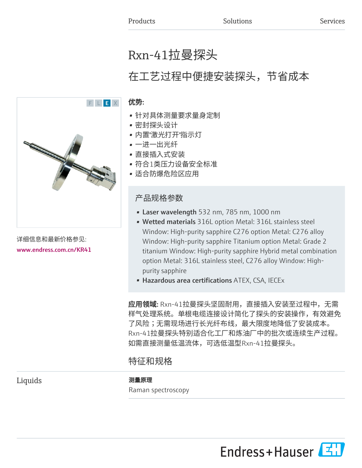# Rxn-41拉曼探头

# 在工艺过程中便捷安装探头,节省成本

#### 优势:

- 针对具体测量要求量身定制
- 密封探头设计
- 内置"激光打开"指示灯
- 一进一出光纤
- 直接插入式安装
- 符合1类压力设备安全标准
- 适合防爆危险区应用

## 产品规格参数

- Laser wavelength 532 nm, 785 nm, 1000 nm
- Wetted materials 316L option Metal: 316L stainless steel Window: High-purity sapphire C276 option Metal: C276 alloy Window: High-purity sapphire Titanium option Metal: Grade 2 titanium Window: High-purity sapphire Hybrid metal combination option Metal: 316L stainless steel, C276 alloy Window: Highpurity sapphire
- Hazardous area certifications ATEX, CSA, IECEx

应用领域: Rxn-41拉曼探头坚固耐用, 直接插入安装至过程中, 无需 样气处理系统。单根电缆连接设计简化了探头的安装操作,有效避免 了风险;无需现场进行长光纤布线,最大限度地降低了安装成本。 Rxn-41拉曼探头特别适合化工厂和炼油厂中的批次或连续生产过程。 如需直接测量低温流体,可选低温型Rxn-41拉曼探头。

# 特征和规格

Liquids **No. 2018** 测量原理

Raman spectroscopy





详细信息和最新价格参见: [www.endress.com.cn/KR41](https://www.endress.com.cn/KR41)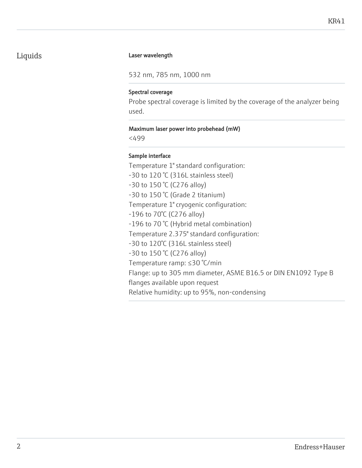## Liquids **Laser wavelength**

532 nm, 785 nm, 1000 nm

#### Spectral coverage

Probe spectral coverage is limited by the coverage of the analyzer being used.

#### Maximum laser power into probehead (mW)

<499

#### Sample interface

Temperature 1" standard configuration: -30 to 120 °C (316L stainless steel) -30 to 150 °C (C276 alloy) -30 to 150 °C (Grade 2 titanium) Temperature 1" cryogenic configuration: -196 to 70°C (C276 alloy) -196 to 70 °C (Hybrid metal combination) Temperature 2.375" standard configuration: -30 to 120°C (316L stainless steel) -30 to 150 °C (C276 alloy) Temperature ramp: ≤30 °C/min Flange: up to 305 mm diameter, ASME B16.5 or DIN EN1092 Type B flanges available upon request Relative humidity: up to 95%, non-condensing